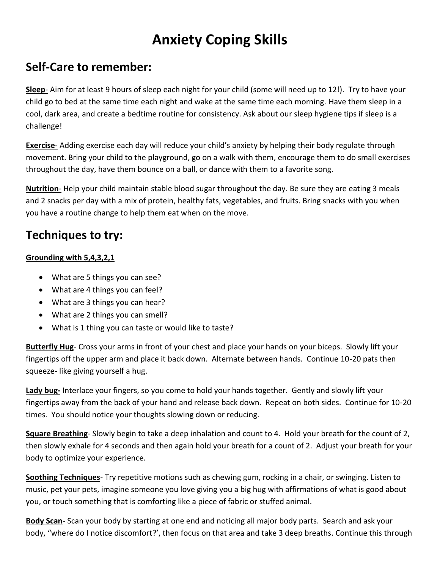# **Anxiety Coping Skills**

#### **Self-Care to remember:**

**Sleep**- Aim for at least 9 hours of sleep each night for your child (some will need up to 12!). Try to have your child go to bed at the same time each night and wake at the same time each morning. Have them sleep in a cool, dark area, and create a bedtime routine for consistency. Ask about our sleep hygiene tips if sleep is a challenge!

**Exercise**- Adding exercise each day will reduce your child's anxiety by helping their body regulate through movement. Bring your child to the playground, go on a walk with them, encourage them to do small exercises throughout the day, have them bounce on a ball, or dance with them to a favorite song.

**Nutrition**- Help your child maintain stable blood sugar throughout the day. Be sure they are eating 3 meals and 2 snacks per day with a mix of protein, healthy fats, vegetables, and fruits. Bring snacks with you when you have a routine change to help them eat when on the move.

### **Techniques to try:**

#### **Grounding with 5,4,3,2,1**

- What are 5 things you can see?
- What are 4 things you can feel?
- What are 3 things you can hear?
- What are 2 things you can smell?
- What is 1 thing you can taste or would like to taste?

**Butterfly Hug**- Cross your arms in front of your chest and place your hands on your biceps. Slowly lift your fingertips off the upper arm and place it back down. Alternate between hands. Continue 10-20 pats then squeeze- like giving yourself a hug.

**Lady bug-** Interlace your fingers, so you come to hold your hands together. Gently and slowly lift your fingertips away from the back of your hand and release back down. Repeat on both sides. Continue for 10-20 times. You should notice your thoughts slowing down or reducing.

**Square Breathing**- Slowly begin to take a deep inhalation and count to 4. Hold your breath for the count of 2, then slowly exhale for 4 seconds and then again hold your breath for a count of 2. Adjust your breath for your body to optimize your experience.

**Soothing Techniques**- Try repetitive motions such as chewing gum, rocking in a chair, or swinging. Listen to music, pet your pets, imagine someone you love giving you a big hug with affirmations of what is good about you, or touch something that is comforting like a piece of fabric or stuffed animal.

**Body Scan**- Scan your body by starting at one end and noticing all major body parts. Search and ask your body, "where do I notice discomfort?', then focus on that area and take 3 deep breaths. Continue this through